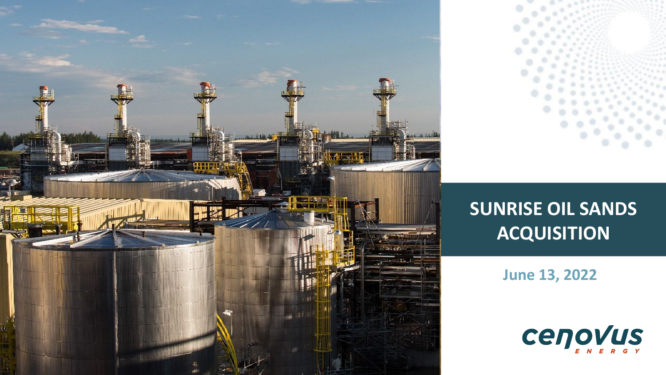

# **SUNRISE OIL SANDS ACQUISITION**

**June 13, 2022**

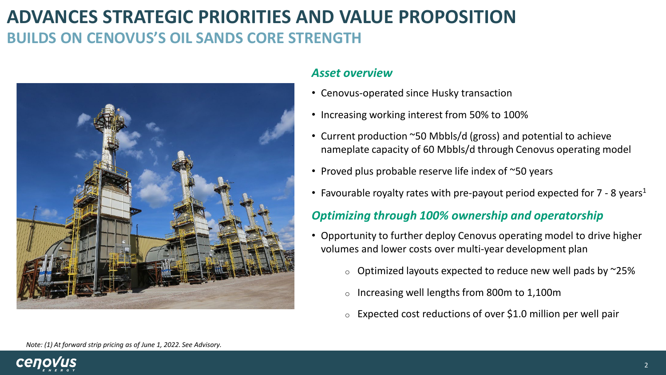## **ADVANCES STRATEGIC PRIORITIES AND VALUE PROPOSITION BUILDS ON CENOVUS'S OIL SANDS CORE STRENGTH**



### *Asset overview*

- Cenovus-operated since Husky transaction
- Increasing working interest from 50% to 100%
- Current production ~50 Mbbls/d (gross) and potential to achieve nameplate capacity of 60 Mbbls/d through Cenovus operating model
- Proved plus probable reserve life index of ~50 years
- Favourable royalty rates with pre-payout period expected for  $7 8$  years<sup>1</sup>

### *Optimizing through 100% ownership and operatorship*

- Opportunity to further deploy Cenovus operating model to drive higher volumes and lower costs over multi-year development plan
	- $\circ$  Optimized layouts expected to reduce new well pads by  $\sim$ 25%
	- o Increasing well lengths from 800m to 1,100m
	- $\circ$  Expected cost reductions of over \$1.0 million per well pair

*Note: (1) At forward strip pricing as of June 1, 2022. See Advisory.* 

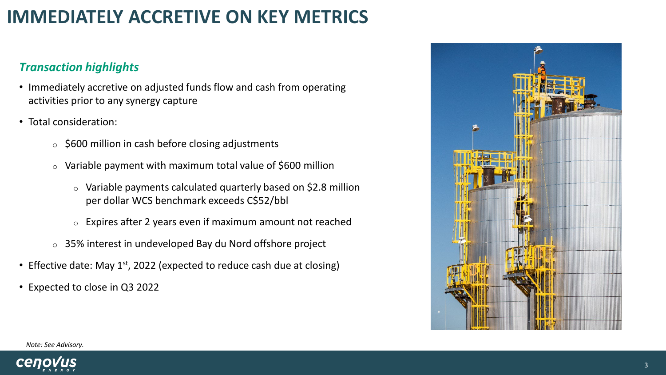## **IMMEDIATELY ACCRETIVE ON KEY METRICS**

## *Transaction highlights*

- Immediately accretive on adjusted funds flow and cash from operating activities prior to any synergy capture
- Total consideration:
	- $\circ$  \$600 million in cash before closing adjustments
	- $\circ$  Variable payment with maximum total value of \$600 million
		- o Variable payments calculated quarterly based on \$2.8 million per dollar WCS benchmark exceeds C\$52/bbl
		- o Expires after 2 years even if maximum amount not reached
	- o 35% interest in undeveloped Bay du Nord offshore project
- Effective date: May  $1^{st}$ , 2022 (expected to reduce cash due at closing)
- Expected to close in Q3 2022



*Note: See Advisory.*